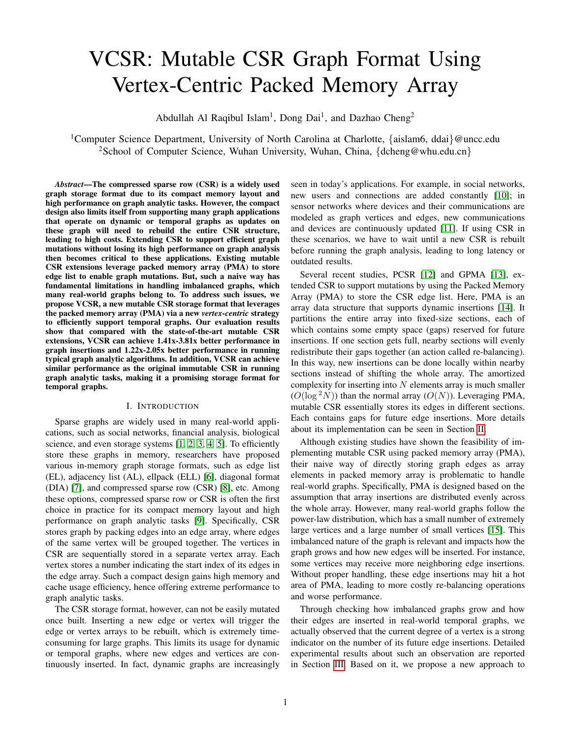# VCSR: Mutable CSR Graph Format Using Vertex-Centric Packed Memory Array

Abdullah Al Raqibul Islam<sup>1</sup>, Dong Dai<sup>1</sup>, and Dazhao Cheng<sup>2</sup>

<sup>1</sup>Computer Science Department, University of North Carolina at Charlotte, {aislam6, ddai}@uncc.edu <sup>2</sup>School of Computer Science, Wuhan University, Wuhan, China, {dcheng@whu.edu.cn}

*Abstract*—The compressed sparse row (CSR) is a widely used graph storage format due to its compact memory layout and high performance on graph analytic tasks. However, the compact design also limits itself from supporting many graph applications that operate on dynamic or temporal graphs as updates on these graph will need to rebuild the entire CSR structure, leading to high costs. Extending CSR to support efficient graph mutations without losing its high performance on graph analysis then becomes critical to these applications. Existing mutable CSR extensions leverage packed memory array (PMA) to store edge list to enable graph mutations. But, such a naive way has fundamental limitations in handling imbalanced graphs, which many real-world graphs belong to. To address such issues, we propose VCSR, a new mutable CSR storage format that leverages the packed memory array (PMA) via a new *vertex-centric* strategy to efficiently support temporal graphs. Our evaluation results show that compared with the state-of-the-art mutable CSR extensions, VCSR can achieve 1.41x-3.81x better performance in graph insertions and 1.22x-2.05x better performance in running typical graph analytic algorithms. In addition, VCSR can achieve similar performance as the original immutable CSR in running graph analytic tasks, making it a promising storage format for temporal graphs.

# I. INTRODUCTION

Sparse graphs are widely used in many real-world applications, such as social networks, financial analysis, biological science, and even storage systems [\[1,](#page-9-0) [2,](#page-9-1) [3,](#page-9-2) [4,](#page-9-3) [5\]](#page-9-4). To efficiently store these graphs in memory, researchers have proposed various in-memory graph storage formats, such as edge list (EL), adjacency list (AL), ellpack (ELL) [\[6\]](#page-9-5), diagonal format (DIA) [\[7\]](#page-9-6), and compressed sparse row (CSR) [\[8\]](#page-9-7), etc. Among these options, compressed sparse row or CSR is often the first choice in practice for its compact memory layout and high performance on graph analytic tasks [\[9\]](#page-9-8). Specifically, CSR stores graph by packing edges into an edge array, where edges of the same vertex will be grouped together. The vertices in CSR are sequentially stored in a separate vertex array. Each vertex stores a number indicating the start index of its edges in the edge array. Such a compact design gains high memory and cache usage efficiency, hence offering extreme performance to graph analytic tasks.

The CSR storage format, however, can not be easily mutated once built. Inserting a new edge or vertex will trigger the edge or vertex arrays to be rebuilt, which is extremely timeconsuming for large graphs. This limits its usage for dynamic or temporal graphs, where new edges and vertices are continuously inserted. In fact, dynamic graphs are increasingly seen in today's applications. For example, in social networks, new users and connections are added constantly [\[10\]](#page-9-9); in sensor networks where devices and their communications are modeled as graph vertices and edges, new communications and devices are continuously updated [\[11\]](#page-9-10). If using CSR in these scenarios, we have to wait until a new CSR is rebuilt before running the graph analysis, leading to long latency or outdated results.

Several recent studies, PCSR [\[12\]](#page-9-11) and GPMA [\[13\]](#page-9-12), extended CSR to support mutations by using the Packed Memory Array (PMA) to store the CSR edge list. Here, PMA is an array data structure that supports dynamic insertions [\[14\]](#page-9-13). It partitions the entire array into fixed-size sections, each of which contains some empty space (gaps) reserved for future insertions. If one section gets full, nearby sections will evenly redistribute their gaps together (an action called re-balancing). In this way, new insertions can be done locally within nearby sections instead of shifting the whole array. The amortized complexity for inserting into  $N$  elements array is much smaller  $(O(\log^2 N))$  than the normal array  $(O(N))$ . Leveraging PMA, mutable CSR essentially stores its edges in different sections. Each contains gaps for future edge insertions. More details about its implementation can be seen in Section [II.](#page-1-0)

Although existing studies have shown the feasibility of implementing mutable CSR using packed memory array (PMA), their naive way of directly storing graph edges as array elements in packed memory array is problematic to handle real-world graphs. Specifically, PMA is designed based on the assumption that array insertions are distributed evenly across the whole array. However, many real-world graphs follow the power-law distribution, which has a small number of extremely large vertices and a large number of small vertices [\[15\]](#page-9-14). This imbalanced nature of the graph is relevant and impacts how the graph grows and how new edges will be inserted. For instance, some vertices may receive more neighboring edge insertions. Without proper handling, these edge insertions may hit a hot area of PMA, leading to more costly re-balancing operations and worse performance.

Through checking how imbalanced graphs grow and how their edges are inserted in real-world temporal graphs, we actually observed that the current degree of a vertex is a strong indicator on the number of its future edge insertions. Detailed experimental results about such an observation are reported in Section [III.](#page-2-0) Based on it, we propose a new approach to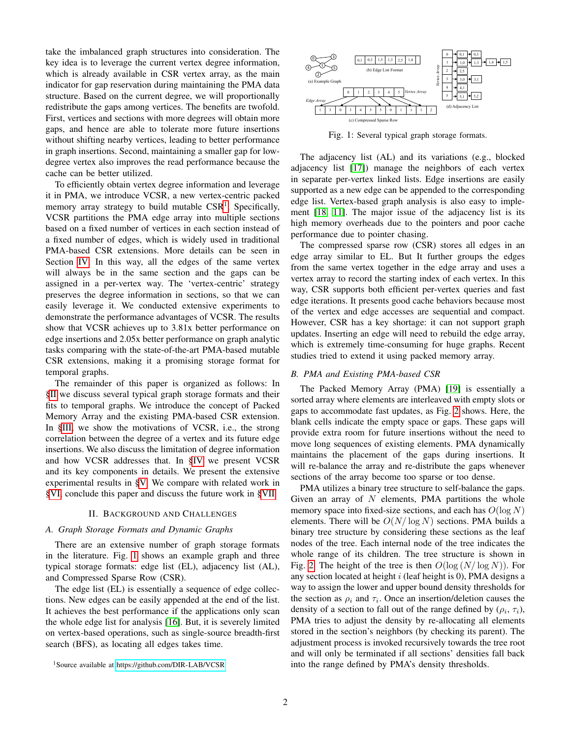take the imbalanced graph structures into consideration. The key idea is to leverage the current vertex degree information, which is already available in CSR vertex array, as the main indicator for gap reservation during maintaining the PMA data structure. Based on the current degree, we will proportionally redistribute the gaps among vertices. The benefits are twofold. First, vertices and sections with more degrees will obtain more gaps, and hence are able to tolerate more future insertions without shifting nearby vertices, leading to better performance in graph insertions. Second, maintaining a smaller gap for lowdegree vertex also improves the read performance because the cache can be better utilized.

To efficiently obtain vertex degree information and leverage it in PMA, we introduce VCSR, a new vertex-centric packed memory array strategy to build mutable CSR<sup>[1](#page-1-1)</sup>. Specifically, VCSR partitions the PMA edge array into multiple sections based on a fixed number of vertices in each section instead of a fixed number of edges, which is widely used in traditional PMA-based CSR extensions. More details can be seen in Section [IV.](#page-3-0) In this way, all the edges of the same vertex will always be in the same section and the gaps can be assigned in a per-vertex way. The 'vertex-centric' strategy preserves the degree information in sections, so that we can easily leverage it. We conducted extensive experiments to demonstrate the performance advantages of VCSR. The results show that VCSR achieves up to 3.81x better performance on edge insertions and 2.05x better performance on graph analytic tasks comparing with the state-of-the-art PMA-based mutable CSR extensions, making it a promising storage format for temporal graphs.

The remainder of this paper is organized as follows: In [§II](#page-1-0) we discuss several typical graph storage formats and their fits to temporal graphs. We introduce the concept of Packed Memory Array and the existing PMA-based CSR extension. In [§III,](#page-2-0) we show the motivations of VCSR, i.e., the strong correlation between the degree of a vertex and its future edge insertions. We also discuss the limitation of degree information and how VCSR addresses that. In [§IV](#page-3-0) we present VCSR and its key components in details. We present the extensive experimental results in [§V.](#page-5-0) We compare with related work in [§VI,](#page-7-0) conclude this paper and discuss the future work in [§VII.](#page-8-0)

#### II. BACKGROUND AND CHALLENGES

## <span id="page-1-0"></span>*A. Graph Storage Formats and Dynamic Graphs*

There are an extensive number of graph storage formats in the literature. Fig. [1](#page-1-2) shows an example graph and three typical storage formats: edge list (EL), adjacency list (AL), and Compressed Sparse Row (CSR).

The edge list (EL) is essentially a sequence of edge collections. New edges can be easily appended at the end of the list. It achieves the best performance if the applications only scan the whole edge list for analysis [\[16\]](#page-9-15). But, it is severely limited on vertex-based operations, such as single-source breadth-first search (BFS), as locating all edges takes time.

<span id="page-1-2"></span>

Fig. 1: Several typical graph storage formats.

The adjacency list (AL) and its variations (e.g., blocked adjacency list [\[17\]](#page-9-16)) manage the neighbors of each vertex in separate per-vertex linked lists. Edge insertions are easily supported as a new edge can be appended to the corresponding edge list. Vertex-based graph analysis is also easy to implement [\[18,](#page-9-17) [11\]](#page-9-10). The major issue of the adjacency list is its high memory overheads due to the pointers and poor cache performance due to pointer chasing.

The compressed sparse row (CSR) stores all edges in an edge array similar to EL. But It further groups the edges from the same vertex together in the edge array and uses a vertex array to record the starting index of each vertex. In this way, CSR supports both efficient per-vertex queries and fast edge iterations. It presents good cache behaviors because most of the vertex and edge accesses are sequential and compact. However, CSR has a key shortage: it can not support graph updates. Inserting an edge will need to rebuild the edge array, which is extremely time-consuming for huge graphs. Recent studies tried to extend it using packed memory array.

# *B. PMA and Existing PMA-based CSR*

The Packed Memory Array (PMA) [\[19\]](#page-9-18) is essentially a sorted array where elements are interleaved with empty slots or gaps to accommodate fast updates, as Fig. [2](#page-2-1) shows. Here, the blank cells indicate the empty space or gaps. These gaps will provide extra room for future insertions without the need to move long sequences of existing elements. PMA dynamically maintains the placement of the gaps during insertions. It will re-balance the array and re-distribute the gaps whenever sections of the array become too sparse or too dense.

PMA utilizes a binary tree structure to self-balance the gaps. Given an array of  $N$  elements, PMA partitions the whole memory space into fixed-size sections, and each has  $O(\log N)$ elements. There will be  $O(N/\log N)$  sections. PMA builds a binary tree structure by considering these sections as the leaf nodes of the tree. Each internal node of the tree indicates the whole range of its children. The tree structure is shown in Fig. [2.](#page-2-1) The height of the tree is then  $O(\log (N/\log N))$ . For any section located at height  $i$  (leaf height is 0), PMA designs a way to assign the lower and upper bound density thresholds for the section as  $\rho_i$  and  $\tau_i$ . Once an insertion/deletion causes the density of a section to fall out of the range defined by  $(\rho_i, \tau_i)$ , PMA tries to adjust the density by re-allocating all elements stored in the section's neighbors (by checking its parent). The adjustment process is invoked recursively towards the tree root and will only be terminated if all sections' densities fall back into the range defined by PMA's density thresholds.

<span id="page-1-1"></span><sup>1</sup>Source available at<https://github.com/DIR-LAB/VCSR>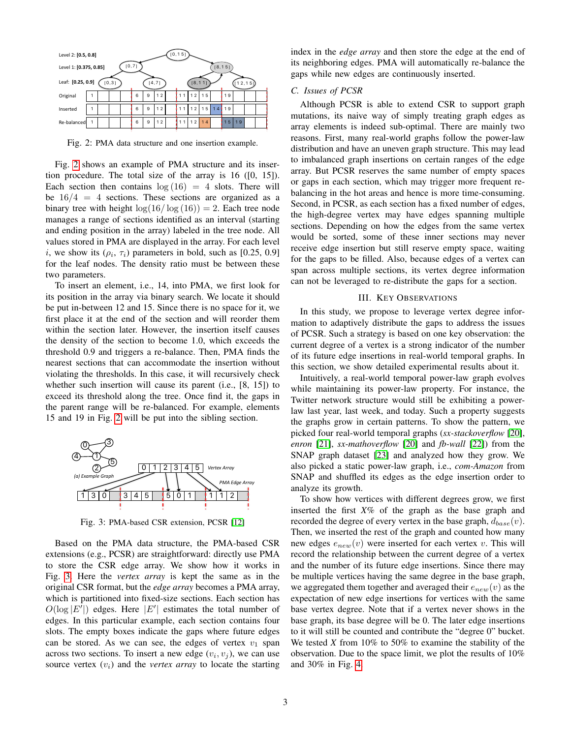<span id="page-2-1"></span>

| Level 2: [0.5, 0.8]             |   |  |  |  | [0, 15] |   |      |                 |              |    |         |    |    |    |  |  |
|---------------------------------|---|--|--|--|---------|---|------|-----------------|--------------|----|---------|----|----|----|--|--|
| [0,7]<br>Level 1: [0.375, 0.85] |   |  |  |  |         |   |      |                 |              |    | [8, 15] |    |    |    |  |  |
| Leaf: [0.25, 0.9]<br>[0,3]      |   |  |  |  |         |   | 4,71 | 12,151<br>18.11 |              |    |         |    |    |    |  |  |
| Original                        | 1 |  |  |  | 6       | 9 | 12   |                 | 11           | 12 | 15      |    | 19 |    |  |  |
| Inserted                        | 1 |  |  |  | 6       | 9 | 12   |                 | $\mathbf{1}$ | 12 | 15      | 14 | 19 |    |  |  |
| Re-balanced                     | 1 |  |  |  | 6       | 9 | 12   |                 | 11           | 12 | 14      |    | 15 | 19 |  |  |

Fig. 2: PMA data structure and one insertion example.

Fig. [2](#page-2-1) shows an example of PMA structure and its insertion procedure. The total size of the array is 16 ([0, 15]). Each section then contains  $log(16) = 4$  slots. There will be  $16/4 = 4$  sections. These sections are organized as a binary tree with height  $\log(16/\log(16)) = 2$ . Each tree node manages a range of sections identified as an interval (starting and ending position in the array) labeled in the tree node. All values stored in PMA are displayed in the array. For each level i, we show its  $(\rho_i, \tau_i)$  parameters in bold, such as [0.25, 0.9] for the leaf nodes. The density ratio must be between these two parameters.

To insert an element, i.e., 14, into PMA, we first look for its position in the array via binary search. We locate it should be put in-between 12 and 15. Since there is no space for it, we first place it at the end of the section and will reorder them within the section later. However, the insertion itself causes the density of the section to become 1.0, which exceeds the threshold 0.9 and triggers a re-balance. Then, PMA finds the nearest sections that can accommodate the insertion without violating the thresholds. In this case, it will recursively check whether such insertion will cause its parent (i.e., [8, 15]) to exceed its threshold along the tree. Once find it, the gaps in the parent range will be re-balanced. For example, elements 15 and 19 in Fig. [2](#page-2-1) will be put into the sibling section.

<span id="page-2-2"></span>

Fig. 3: PMA-based CSR extension, PCSR [\[12\]](#page-9-11)

Based on the PMA data structure, the PMA-based CSR extensions (e.g., PCSR) are straightforward: directly use PMA to store the CSR edge array. We show how it works in Fig. [3.](#page-2-2) Here the *vertex array* is kept the same as in the original CSR format, but the *edge array* becomes a PMA array, which is partitioned into fixed-size sections. Each section has  $O(\log |E'|)$  edges. Here  $|E'|$  estimates the total number of edges. In this particular example, each section contains four slots. The empty boxes indicate the gaps where future edges can be stored. As we can see, the edges of vertex  $v_1$  span across two sections. To insert a new edge  $(v_i, v_j)$ , we can use source vertex  $(v_i)$  and the *vertex array* to locate the starting index in the *edge array* and then store the edge at the end of its neighboring edges. PMA will automatically re-balance the gaps while new edges are continuously inserted.

# *C. Issues of PCSR*

Although PCSR is able to extend CSR to support graph mutations, its naive way of simply treating graph edges as array elements is indeed sub-optimal. There are mainly two reasons. First, many real-world graphs follow the power-law distribution and have an uneven graph structure. This may lead to imbalanced graph insertions on certain ranges of the edge array. But PCSR reserves the same number of empty spaces or gaps in each section, which may trigger more frequent rebalancing in the hot areas and hence is more time-consuming. Second, in PCSR, as each section has a fixed number of edges, the high-degree vertex may have edges spanning multiple sections. Depending on how the edges from the same vertex would be sorted, some of these inner sections may never receive edge insertion but still reserve empty space, waiting for the gaps to be filled. Also, because edges of a vertex can span across multiple sections, its vertex degree information can not be leveraged to re-distribute the gaps for a section.

## III. KEY OBSERVATIONS

<span id="page-2-0"></span>In this study, we propose to leverage vertex degree information to adaptively distribute the gaps to address the issues of PCSR. Such a strategy is based on one key observation: the current degree of a vertex is a strong indicator of the number of its future edge insertions in real-world temporal graphs. In this section, we show detailed experimental results about it.

Intuitively, a real-world temporal power-law graph evolves while maintaining its power-law property. For instance, the Twitter network structure would still be exhibiting a powerlaw last year, last week, and today. Such a property suggests the graphs grow in certain patterns. To show the pattern, we picked four real-world temporal graphs (*sx-stackoverflow* [\[20\]](#page-9-19), *enron* [\[21\]](#page-9-20), *sx-mathoverflow* [\[20\]](#page-9-19) and *fb-wall* [\[22\]](#page-9-21)) from the SNAP graph dataset [\[23\]](#page-9-22) and analyzed how they grow. We also picked a static power-law graph, i.e., *com-Amazon* from SNAP and shuffled its edges as the edge insertion order to analyze its growth.

To show how vertices with different degrees grow, we first inserted the first *X*% of the graph as the base graph and recorded the degree of every vertex in the base graph,  $d_{base}(v)$ . Then, we inserted the rest of the graph and counted how many new edges  $e_{new}(v)$  were inserted for each vertex v. This will record the relationship between the current degree of a vertex and the number of its future edge insertions. Since there may be multiple vertices having the same degree in the base graph, we aggregated them together and averaged their  $e_{new}(v)$  as the expectation of new edge insertions for vertices with the same base vertex degree. Note that if a vertex never shows in the base graph, its base degree will be 0. The later edge insertions to it will still be counted and contribute the "degree 0" bucket. We tested *X* from 10% to 50% to examine the stability of the observation. Due to the space limit, we plot the results of 10% and 30% in Fig. [4.](#page-3-1)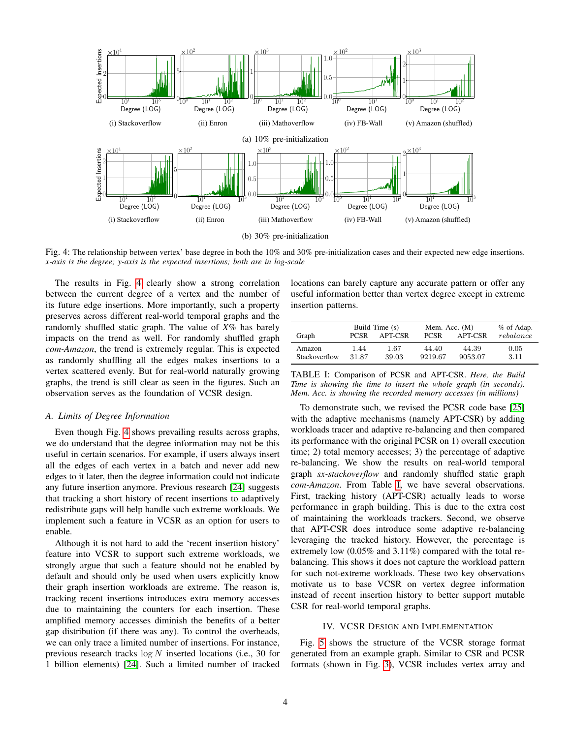<span id="page-3-1"></span>

Fig. 4: The relationship between vertex' base degree in both the 10% and 30% pre-initialization cases and their expected new edge insertions. *x-axis is the degree; y-axis is the expected insertions; both are in log-scale*

The results in Fig. [4](#page-3-1) clearly show a strong correlation between the current degree of a vertex and the number of its future edge insertions. More importantly, such a property preserves across different real-world temporal graphs and the randomly shuffled static graph. The value of *X*% has barely impacts on the trend as well. For randomly shuffled graph *com-Amazon*, the trend is extremely regular. This is expected as randomly shuffling all the edges makes insertions to a vertex scattered evenly. But for real-world naturally growing graphs, the trend is still clear as seen in the figures. Such an observation serves as the foundation of VCSR design.

# *A. Limits of Degree Information*

Even though Fig. [4](#page-3-1) shows prevailing results across graphs, we do understand that the degree information may not be this useful in certain scenarios. For example, if users always insert all the edges of each vertex in a batch and never add new edges to it later, then the degree information could not indicate any future insertion anymore. Previous research [\[24\]](#page-9-23) suggests that tracking a short history of recent insertions to adaptively redistribute gaps will help handle such extreme workloads. We implement such a feature in VCSR as an option for users to enable.

Although it is not hard to add the 'recent insertion history' feature into VCSR to support such extreme workloads, we strongly argue that such a feature should not be enabled by default and should only be used when users explicitly know their graph insertion workloads are extreme. The reason is, tracking recent insertions introduces extra memory accesses due to maintaining the counters for each insertion. These amplified memory accesses diminish the benefits of a better gap distribution (if there was any). To control the overheads, we can only trace a limited number of insertions. For instance, previous research tracks  $log N$  inserted locations (i.e., 30 for 1 billion elements) [\[24\]](#page-9-23). Such a limited number of tracked locations can barely capture any accurate pattern or offer any useful information better than vertex degree except in extreme insertion patterns.

<span id="page-3-2"></span>

| Graph         | <b>PCSR</b> | Build Time (s)<br>APT-CSR | Mem. Acc. (M)<br><b>PCSR</b> | % of Adap.<br>rebalance |      |  |
|---------------|-------------|---------------------------|------------------------------|-------------------------|------|--|
| Amazon        | 1.44        | 1.67                      | 44.40                        | 44.39                   | 0.05 |  |
| Stackoverflow | 31.87       | 39.03                     | 9219.67                      | 9053.07                 | 3.11 |  |

TABLE I: Comparison of PCSR and APT-CSR. *Here, the Build Time is showing the time to insert the whole graph (in seconds). Mem. Acc. is showing the recorded memory accesses (in millions)*

To demonstrate such, we revised the PCSR code base [\[25\]](#page-9-24) with the adaptive mechanisms (namely APT-CSR) by adding workloads tracer and adaptive re-balancing and then compared its performance with the original PCSR on 1) overall execution time; 2) total memory accesses; 3) the percentage of adaptive re-balancing. We show the results on real-world temporal graph *sx-stackoverflow* and randomly shuffled static graph *com-Amazon*. From Table [I,](#page-3-2) we have several observations. First, tracking history (APT-CSR) actually leads to worse performance in graph building. This is due to the extra cost of maintaining the workloads trackers. Second, we observe that APT-CSR does introduce some adaptive re-balancing leveraging the tracked history. However, the percentage is extremely low  $(0.05\%$  and  $3.11\%)$  compared with the total rebalancing. This shows it does not capture the workload pattern for such not-extreme workloads. These two key observations motivate us to base VCSR on vertex degree information instead of recent insertion history to better support mutable CSR for real-world temporal graphs.

## IV. VCSR DESIGN AND IMPLEMENTATION

<span id="page-3-0"></span>Fig. [5](#page-4-0) shows the structure of the VCSR storage format generated from an example graph. Similar to CSR and PCSR formats (shown in Fig. [3\)](#page-2-2), VCSR includes vertex array and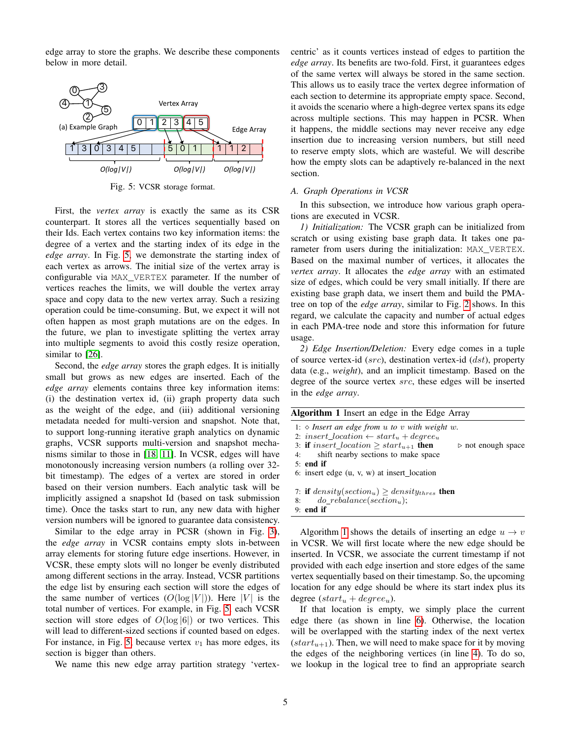edge array to store the graphs. We describe these components below in more detail.

<span id="page-4-0"></span>

Fig. 5: VCSR storage format.

First, the *vertex array* is exactly the same as its CSR counterpart. It stores all the vertices sequentially based on their Ids. Each vertex contains two key information items: the degree of a vertex and the starting index of its edge in the *edge array*. In Fig. [5,](#page-4-0) we demonstrate the starting index of each vertex as arrows. The initial size of the vertex array is configurable via MAX\_VERTEX parameter. If the number of vertices reaches the limits, we will double the vertex array space and copy data to the new vertex array. Such a resizing operation could be time-consuming. But, we expect it will not often happen as most graph mutations are on the edges. In the future, we plan to investigate splitting the vertex array into multiple segments to avoid this costly resize operation, similar to [\[26\]](#page-9-25).

Second, the *edge array* stores the graph edges. It is initially small but grows as new edges are inserted. Each of the *edge array* elements contains three key information items: (i) the destination vertex id, (ii) graph property data such as the weight of the edge, and (iii) additional versioning metadata needed for multi-version and snapshot. Note that, to support long-running iterative graph analytics on dynamic graphs, VCSR supports multi-version and snapshot mechanisms similar to those in [\[18,](#page-9-17) [11\]](#page-9-10). In VCSR, edges will have monotonously increasing version numbers (a rolling over 32 bit timestamp). The edges of a vertex are stored in order based on their version numbers. Each analytic task will be implicitly assigned a snapshot Id (based on task submission time). Once the tasks start to run, any new data with higher version numbers will be ignored to guarantee data consistency.

Similar to the edge array in PCSR (shown in Fig. [3\)](#page-2-2), the *edge array* in VCSR contains empty slots in-between array elements for storing future edge insertions. However, in VCSR, these empty slots will no longer be evenly distributed among different sections in the array. Instead, VCSR partitions the edge list by ensuring each section will store the edges of the same number of vertices  $(O(\log |V|))$ . Here |V| is the total number of vertices. For example, in Fig. [5,](#page-4-0) each VCSR section will store edges of  $O(\log |6|)$  or two vertices. This will lead to different-sized sections if counted based on edges. For instance, in Fig. [5,](#page-4-0) because vertex  $v_1$  has more edges, its section is bigger than others.

We name this new edge array partition strategy 'vertex-

centric' as it counts vertices instead of edges to partition the *edge array*. Its benefits are two-fold. First, it guarantees edges of the same vertex will always be stored in the same section. This allows us to easily trace the vertex degree information of each section to determine its appropriate empty space. Second, it avoids the scenario where a high-degree vertex spans its edge across multiple sections. This may happen in PCSR. When it happens, the middle sections may never receive any edge insertion due to increasing version numbers, but still need to reserve empty slots, which are wasteful. We will describe how the empty slots can be adaptively re-balanced in the next section.

#### *A. Graph Operations in VCSR*

In this subsection, we introduce how various graph operations are executed in VCSR.

*1) Initialization:* The VCSR graph can be initialized from scratch or using existing base graph data. It takes one parameter from users during the initialization: MAX\_VERTEX. Based on the maximal number of vertices, it allocates the *vertex array*. It allocates the *edge array* with an estimated size of edges, which could be very small initially. If there are existing base graph data, we insert them and build the PMAtree on top of the *edge array*, similar to Fig. [2](#page-2-1) shows. In this regard, we calculate the capacity and number of actual edges in each PMA-tree node and store this information for future usage.

*2) Edge Insertion/Deletion:* Every edge comes in a tuple of source vertex-id  $(src)$ , destination vertex-id  $(dst)$ , property data (e.g., *weight*), and an implicit timestamp. Based on the degree of the source vertex src, these edges will be inserted in the *edge array*.

<span id="page-4-1"></span>

| <b>Algorithm 1</b> Insert an edge in the Edge Array                                         |
|---------------------------------------------------------------------------------------------|
| 1: $\diamond$ Insert an edge from u to v with weight w.                                     |
| 2: insert location $\leftarrow start_u + degree_u$                                          |
| 3: if insert_location $\geq$ start <sub>u+1</sub> then<br>$\triangleright$ not enough space |
| shift nearby sections to make space<br>4:                                                   |
| $5:$ end if                                                                                 |
| 6: insert edge $(u, v, w)$ at insert location                                               |
| 7: if $density(section_u) \ge density_{thres}$ then                                         |
| do rebalance(section <sub>u</sub> );<br>8:                                                  |
| $9:$ end if                                                                                 |
|                                                                                             |

Algorithm [1](#page-4-1) shows the details of inserting an edge  $u \rightarrow v$ in VCSR. We will first locate where the new edge should be inserted. In VCSR, we associate the current timestamp if not provided with each edge insertion and store edges of the same vertex sequentially based on their timestamp. So, the upcoming location for any edge should be where its start index plus its degree  $(start_u + degree_u)$ .

If that location is empty, we simply place the current edge there (as shown in line [6\)](#page-4-1). Otherwise, the location will be overlapped with the starting index of the next vertex  $(start_{u+1})$ . Then, we will need to make space for it by moving the edges of the neighboring vertices (in line [4\)](#page-4-1). To do so, we lookup in the logical tree to find an appropriate search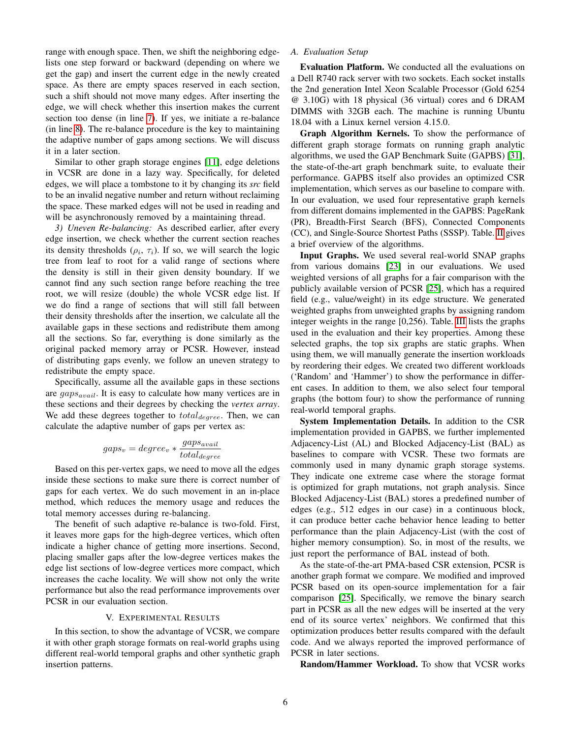range with enough space. Then, we shift the neighboring edgelists one step forward or backward (depending on where we get the gap) and insert the current edge in the newly created space. As there are empty spaces reserved in each section, such a shift should not move many edges. After inserting the edge, we will check whether this insertion makes the current section too dense (in line [7\)](#page-4-1). If yes, we initiate a re-balance (in line [8\)](#page-4-1). The re-balance procedure is the key to maintaining the adaptive number of gaps among sections. We will discuss it in a later section.

Similar to other graph storage engines [\[11\]](#page-9-10), edge deletions in VCSR are done in a lazy way. Specifically, for deleted edges, we will place a tombstone to it by changing its *src* field to be an invalid negative number and return without reclaiming the space. These marked edges will not be used in reading and will be asynchronously removed by a maintaining thread.

*3) Uneven Re-balancing:* As described earlier, after every edge insertion, we check whether the current section reaches its density thresholds  $(\rho_i, \tau_i)$ . If so, we will search the logic tree from leaf to root for a valid range of sections where the density is still in their given density boundary. If we cannot find any such section range before reaching the tree root, we will resize (double) the whole VCSR edge list. If we do find a range of sections that will still fall between their density thresholds after the insertion, we calculate all the available gaps in these sections and redistribute them among all the sections. So far, everything is done similarly as the original packed memory array or PCSR. However, instead of distributing gaps evenly, we follow an uneven strategy to redistribute the empty space.

Specifically, assume all the available gaps in these sections are  $gaps_{avail}$ . It is easy to calculate how many vertices are in these sections and their degrees by checking the *vertex array*. We add these degrees together to  $total_{degree}$ . Then, we can calculate the adaptive number of gaps per vertex as:

$$
gaps_v = degree_v * \frac{gaps_{avail}}{total degree}
$$

Based on this per-vertex gaps, we need to move all the edges inside these sections to make sure there is correct number of gaps for each vertex. We do such movement in an in-place method, which reduces the memory usage and reduces the total memory accesses during re-balancing.

The benefit of such adaptive re-balance is two-fold. First, it leaves more gaps for the high-degree vertices, which often indicate a higher chance of getting more insertions. Second, placing smaller gaps after the low-degree vertices makes the edge list sections of low-degree vertices more compact, which increases the cache locality. We will show not only the write performance but also the read performance improvements over PCSR in our evaluation section.

# V. EXPERIMENTAL RESULTS

<span id="page-5-0"></span>In this section, to show the advantage of VCSR, we compare it with other graph storage formats on real-world graphs using different real-world temporal graphs and other synthetic graph insertion patterns.

# *A. Evaluation Setup*

Evaluation Platform. We conducted all the evaluations on a Dell R740 rack server with two sockets. Each socket installs the 2nd generation Intel Xeon Scalable Processor (Gold 6254 @ 3.10G) with 18 physical (36 virtual) cores and 6 DRAM DIMMS with 32GB each. The machine is running Ubuntu 18.04 with a Linux kernel version 4.15.0.

Graph Algorithm Kernels. To show the performance of different graph storage formats on running graph analytic algorithms, we used the GAP Benchmark Suite (GAPBS) [\[31\]](#page-9-26), the state-of-the-art graph benchmark suite, to evaluate their performance. GAPBS itself also provides an optimized CSR implementation, which serves as our baseline to compare with. In our evaluation, we used four representative graph kernels from different domains implemented in the GAPBS: PageRank (PR), Breadth-First Search (BFS), Connected Components (CC), and Single-Source Shortest Paths (SSSP). Table. [II](#page-6-0) gives a brief overview of the algorithms.

Input Graphs. We used several real-world SNAP graphs from various domains [\[23\]](#page-9-22) in our evaluations. We used weighted versions of all graphs for a fair comparison with the publicly available version of PCSR [\[25\]](#page-9-24), which has a required field (e.g., value/weight) in its edge structure. We generated weighted graphs from unweighted graphs by assigning random integer weights in the range [0,256). Table. [III](#page-6-1) lists the graphs used in the evaluation and their key properties. Among these selected graphs, the top six graphs are static graphs. When using them, we will manually generate the insertion workloads by reordering their edges. We created two different workloads ('Random' and 'Hammer') to show the performance in different cases. In addition to them, we also select four temporal graphs (the bottom four) to show the performance of running real-world temporal graphs.

System Implementation Details. In addition to the CSR implementation provided in GAPBS, we further implemented Adjacency-List (AL) and Blocked Adjacency-List (BAL) as baselines to compare with VCSR. These two formats are commonly used in many dynamic graph storage systems. They indicate one extreme case where the storage format is optimized for graph mutations, not graph analysis. Since Blocked Adjacency-List (BAL) stores a predefined number of edges (e.g., 512 edges in our case) in a continuous block, it can produce better cache behavior hence leading to better performance than the plain Adjacency-List (with the cost of higher memory consumption). So, in most of the results, we just report the performance of BAL instead of both.

As the state-of-the-art PMA-based CSR extension, PCSR is another graph format we compare. We modified and improved PCSR based on its open-source implementation for a fair comparison [\[25\]](#page-9-24). Specifically, we remove the binary search part in PCSR as all the new edges will be inserted at the very end of its source vertex' neighbors. We confirmed that this optimization produces better results compared with the default code. And we always reported the improved performance of PCSR in later sections.

Random/Hammer Workload. To show that VCSR works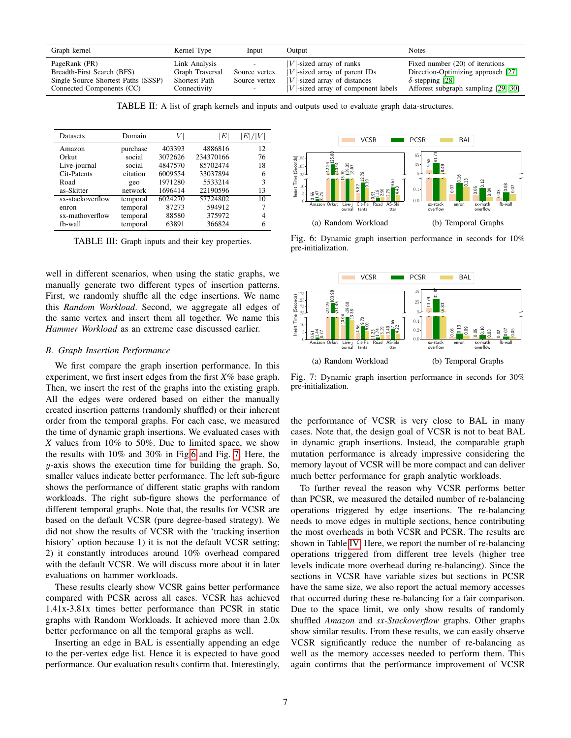<span id="page-6-0"></span>

| Graph kernel                        | Kernel Type          | Input                    | Output                                 | <b>Notes</b>                        |
|-------------------------------------|----------------------|--------------------------|----------------------------------------|-------------------------------------|
| PageRank (PR)                       | Link Analysis        | $\overline{\phantom{a}}$ | $ V $ -sized array of ranks            | Fixed number (20) of iterations     |
| Breadth-First Search (BFS)          | Graph Traversal      | Source vertex            | $ V $ -sized array of parent IDs       | Direction-Optimizing approach [27]  |
| Single-Source Shortest Paths (SSSP) | <b>Shortest Path</b> | Source vertex            | $ V $ -sized array of distances        | $\delta$ -stepping [28]             |
| Connected Components (CC)           | Connectivity         | $\overline{\phantom{0}}$ | $ V $ -sized array of component labels | Afforest subgraph sampling [29, 30] |

TABLE II: A list of graph kernels and inputs and outputs used to evaluate graph data-structures.

<span id="page-6-1"></span>

| <b>Datasets</b>  | Domain   | V       | $E\vert$  | E / |
|------------------|----------|---------|-----------|-----|
| Amazon           | purchase | 403393  | 4886816   | 12  |
| Orkut            | social   | 3072626 | 234370166 | 76  |
| Live-journal     | social   | 4847570 | 85702474  | 18  |
| Cit-Patents      | citation | 6009554 | 33037894  | 6   |
| Road             | geo      | 1971280 | 5533214   | 3   |
| as-Skitter       | network  | 1696414 | 22190596  | 13  |
| sx-stackoverflow | temporal | 6024270 | 57724802  | 10  |
| enron            | temporal | 87273   | 594912    |     |
| sx-mathoverflow  | temporal | 88580   | 375972    | 4   |
| fb-wall          | temporal | 63891   | 366824    |     |

TABLE III: Graph inputs and their key properties.

well in different scenarios, when using the static graphs, we manually generate two different types of insertion patterns. First, we randomly shuffle all the edge insertions. We name this *Random Workload*. Second, we aggregate all edges of the same vertex and insert them all together. We name this *Hammer Workload* as an extreme case discussed earlier.

## *B. Graph Insertion Performance*

We first compare the graph insertion performance. In this experiment, we first insert edges from the first *X*% base graph. Then, we insert the rest of the graphs into the existing graph. All the edges were ordered based on either the manually created insertion patterns (randomly shuffled) or their inherent order from the temporal graphs. For each case, we measured the time of dynamic graph insertions. We evaluated cases with *X* values from 10% to 50%. Due to limited space, we show the results with 10% and 30% in Fig[.6](#page-6-2) and Fig. [7.](#page-6-3) Here, the  $y$ -axis shows the execution time for building the graph. So, smaller values indicate better performance. The left sub-figure shows the performance of different static graphs with random workloads. The right sub-figure shows the performance of different temporal graphs. Note that, the results for VCSR are based on the default VCSR (pure degree-based strategy). We did not show the results of VCSR with the 'tracking insertion history' option because 1) it is not the default VCSR setting; 2) it constantly introduces around 10% overhead compared with the default VCSR. We will discuss more about it in later evaluations on hammer workloads.

These results clearly show VCSR gains better performance compared with PCSR across all cases. VCSR has achieved 1.41x-3.81x times better performance than PCSR in static graphs with Random Workloads. It achieved more than 2.0x better performance on all the temporal graphs as well.

Inserting an edge in BAL is essentially appending an edge to the per-vertex edge list. Hence it is expected to have good performance. Our evaluation results confirm that. Interestingly,

<span id="page-6-2"></span>

Fig. 6: Dynamic graph insertion performance in seconds for 10% pre-initialization.

<span id="page-6-3"></span>

Fig. 7: Dynamic graph insertion performance in seconds for 30% pre-initialization.

the performance of VCSR is very close to BAL in many cases. Note that, the design goal of VCSR is not to beat BAL in dynamic graph insertions. Instead, the comparable graph mutation performance is already impressive considering the memory layout of VCSR will be more compact and can deliver much better performance for graph analytic workloads.

To further reveal the reason why VCSR performs better than PCSR, we measured the detailed number of re-balancing operations triggered by edge insertions. The re-balancing needs to move edges in multiple sections, hence contributing the most overheads in both VCSR and PCSR. The results are shown in Table [IV.](#page-7-1) Here, we report the number of re-balancing operations triggered from different tree levels (higher tree levels indicate more overhead during re-balancing). Since the sections in VCSR have variable sizes but sections in PCSR have the same size, we also report the actual memory accesses that occurred during these re-balancing for a fair comparison. Due to the space limit, we only show results of randomly shuffled *Amazon* and *sx-Stackoverflow* graphs. Other graphs show similar results. From these results, we can easily observe VCSR significantly reduce the number of re-balancing as well as the memory accesses needed to perform them. This again confirms that the performance improvement of VCSR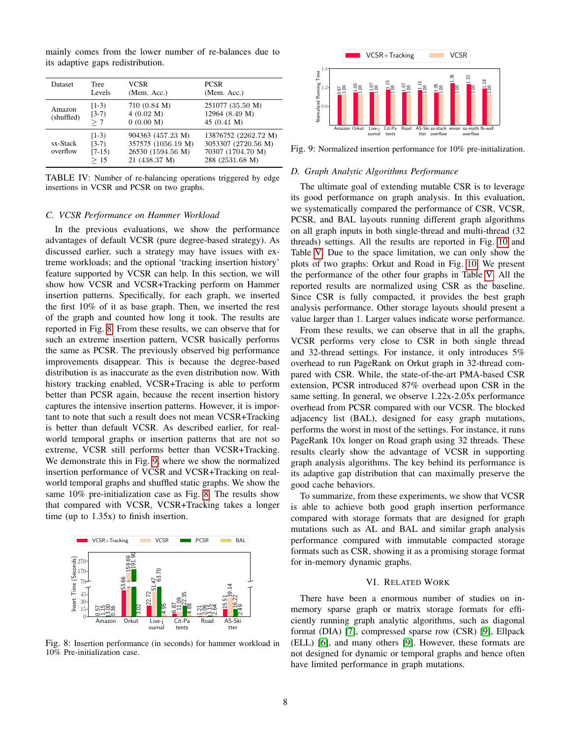mainly comes from the lower number of re-balances due to its adaptive gaps redistribution.

<span id="page-7-1"></span>

| <b>Dataset</b>       | <b>Tree</b><br>Levels                 | VCSR<br>(Mem. Acc.)                                                           | <b>PCSR</b><br>(Mem. Acc.)                                                          |
|----------------------|---------------------------------------|-------------------------------------------------------------------------------|-------------------------------------------------------------------------------------|
| Amazon<br>(shuffled) | $[1-3)$<br>$[3-7)$<br>>7              | 710 (0.84 M)<br>4(0.02 M)<br>0(0.00 M)                                        | 251077 (35.50 M)<br>12964 (8.49 M)<br>45 $(0.41 M)$                                 |
| sx-Stack<br>overflow | $[1-3)$<br>$(3-7)$<br>$[7-15]$<br>>15 | 904363 (457.23 M)<br>357575 (1056.19 M)<br>26530 (1594.56 M)<br>21 (438.37 M) | 13876752 (2262.72 M)<br>3053307 (2720.56 M)<br>70307 (1704.70 M)<br>288 (2531.68 M) |

TABLE IV: Number of re-balancing operations triggered by edge insertions in VCSR and PCSR on two graphs.

## *C. VCSR Performance on Hammer Workload*

In the previous evaluations, we show the performance advantages of default VCSR (pure degree-based strategy). As discussed earlier, such a strategy may have issues with extreme workloads; and the optional 'tracking insertion history' feature supported by VCSR can help. In this section, we will show how VCSR and VCSR+Tracking perform on Hammer insertion patterns. Specifically, for each graph, we inserted the first 10% of it as base graph. Then, we inserted the rest of the graph and counted how long it took. The results are reported in Fig. [8.](#page-7-2) From these results, we can observe that for such an extreme insertion pattern, VCSR basically performs the same as PCSR. The previously observed big performance improvements disappear. This is because the degree-based distribution is as inaccurate as the even distribution now. With history tracking enabled, VCSR+Tracing is able to perform better than PCSR again, because the recent insertion history captures the intensive insertion patterns. However, it is important to note that such a result does not mean VCSR+Tracking is better than default VCSR. As described earlier, for realworld temporal graphs or insertion patterns that are not so extreme, VCSR still performs better than VCSR+Tracking. We demonstrate this in Fig. [9,](#page-7-3) where we show the normalized insertion performance of VCSR and VCSR+Tracking on realworld temporal graphs and shuffled static graphs. We show the same 10% pre-initialization case as Fig. [8.](#page-7-2) The results show that compared with VCSR, VCSR+Tracking takes a longer time (up to 1.35x) to finish insertion.

<span id="page-7-2"></span>

Fig. 8: Insertion performance (in seconds) for hammer workload in 10% Pre-initialization case.

<span id="page-7-3"></span>

Fig. 9: Normalized insertion performance for 10% pre-initialization.

#### *D. Graph Analytic Algorithms Performance*

The ultimate goal of extending mutable CSR is to leverage its good performance on graph analysis. In this evaluation, we systematically compared the performance of CSR, VCSR, PCSR, and BAL layouts running different graph algorithms on all graph inputs in both single-thread and multi-thread (32 threads) settings. All the results are reported in Fig. [10](#page-8-1) and Table [V.](#page-8-2) Due to the space limitation, we can only show the plots of two graphs: Orkut and Road in Fig. [10.](#page-8-1) We present the performance of the other four graphs in Table [V.](#page-8-2) All the reported results are normalized using CSR as the baseline. Since CSR is fully compacted, it provides the best graph analysis performance. Other storage layouts should present a value larger than 1. Larger values indicate worse performance.

From these results, we can observe that in all the graphs, VCSR performs very close to CSR in both single thread and 32-thread settings. For instance, it only introduces 5% overhead to run PageRank on Orkut graph in 32-thread compared with CSR. While, the state-of-the-art PMA-based CSR extension, PCSR introduced 87% overhead upon CSR in the same setting. In general, we observe 1.22x-2.05x performance overhead from PCSR compared with our VCSR. The blocked adjacency list (BAL), designed for easy graph mutations, performs the worst in most of the settings. For instance, it runs PageRank 10x longer on Road graph using 32 threads. These results clearly show the advantage of VCSR in supporting graph analysis algorithms. The key behind its performance is its adaptive gap distribution that can maximally preserve the good cache behaviors.

To summarize, from these experiments, we show that VCSR is able to achieve both good graph insertion performance compared with storage formats that are designed for graph mutations such as AL and BAL and similar graph analysis performance compared with immutable compacted storage formats such as CSR, showing it as a promising storage format for in-memory dynamic graphs.

## VI. RELATED WORK

<span id="page-7-0"></span>There have been a enormous number of studies on inmemory sparse graph or matrix storage formats for efficiently running graph analytic algorithms, such as diagonal format (DIA) [\[7\]](#page-9-6), compressed sparse row (CSR) [\[9\]](#page-9-8), Ellpack (ELL) [\[6\]](#page-9-5), and many others [\[9\]](#page-9-8). However, these formats are not designed for dynamic or temporal graphs and hence often have limited performance in graph mutations.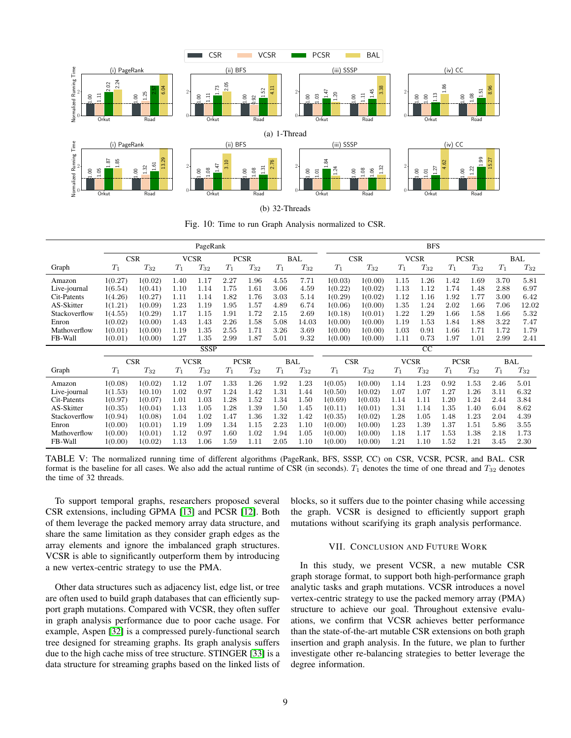<span id="page-8-1"></span>

(b) 32-Threads

Fig. 10: Time to run Graph Analysis normalized to CSR.

<span id="page-8-2"></span>

|               | PageRank   |          |             |                            |       |             |                          |            | <b>BFS</b> |             |             |                 |       |             |       |            |
|---------------|------------|----------|-------------|----------------------------|-------|-------------|--------------------------|------------|------------|-------------|-------------|-----------------|-------|-------------|-------|------------|
|               | <b>CSR</b> |          | <b>VCSR</b> |                            |       | <b>PCSR</b> |                          | <b>BAL</b> | <b>CSR</b> |             | <b>VCSR</b> |                 |       | <b>PCSR</b> |       | <b>BAL</b> |
| Graph         | $T_1$      | $T_{32}$ | $T_1$       | $T_{32}$                   | $T_1$ | $T_{32}$    | $T_1$                    | $T_{32}$   | $T_1$      | $T_{32}$    | $T_1$       | $T_{32}$        | $T_1$ | $T_{32}$    | $T_1$ | $T_{32}$   |
| Amazon        | 1(0.27)    | 1(0.02)  | 1.40        | 1.17                       | 2.27  | 1.96        | 4.55                     | 7.71       | 1(0.03)    | 1(0.00)     | 1.15        | 1.26            | 1.42  | 1.69        | 3.70  | 5.81       |
| Live-journal  | 1(6.54)    | 1(0.41)  | 1.10        | 1.14                       | 1.75  | 1.61        | 3.06                     | 4.59       | 1(0.22)    | 1(0.02)     | 1.13        | 1.12            | 1.74  | 1.48        | 2.88  | 6.97       |
| Cit-Patents   | 1(4.26)    | 1(0.27)  | 1.11        | 1.14                       | 1.82  | 1.76        | 3.03                     | 5.14       | 1(0.29)    | 1(0.02)     | 1.12        | 1.16            | 1.92  | 1.77        | 3.00  | 6.42       |
| AS-Skitter    | 1(1.21)    | 1(0.09)  | 1.23        | 1.19                       | 1.95  | 1.57        | 4.89                     | 6.74       | 1(0.06)    | 1(0.00)     | 1.35        | 1.24            | 2.02  | 1.66        | 7.06  | 12.02      |
| Stackoverflow | 1(4.55)    | 1(0.29)  | 1.17        | 1.15                       | 1.91  | 1.72        | 2.15                     | 2.69       | 1(0.18)    | 1(0.01)     | 1.22        | 1.29            | 1.66  | 1.58        | 1.66  | 5.32       |
| Enron         | 1(0.02)    | 1(0.00)  | 1.43        | 1.43                       | 2.26  | 1.58        | 5.08                     | 14.03      | 1(0.00)    | 1(0.00)     | 1.19        | 1.53            | 1.84  | 1.88        | 3.22  | 7.47       |
| Mathoverflow  | 1(0.01)    | 1(0.00)  | 1.19        | 1.35                       | 2.55  | 1.71        | 3.26                     | 3.69       | 1(0.00)    | 1(0.00)     | 1.03        | 0.91            | 1.66  | 1.71        | 1.72  | 1.79       |
| FB-Wall       | 1(0.01)    | 1(0.00)  | 1.27        | 1.35                       | 2.99  | 1.87        | 5.01                     | 9.32       | 1(0.00)    | 1(0.00)     | 1.11        | 0.73            | 1.97  | 1.01        | 2.99  | 2.41       |
|               |            |          |             | <b>SSSP</b>                |       |             |                          |            |            |             |             | $\overline{cc}$ |       |             |       |            |
|               | <b>CSR</b> |          |             | <b>VCSR</b><br><b>PCSR</b> |       |             | <b>CSR</b><br><b>BAL</b> |            |            | <b>VCSR</b> |             | <b>PCSR</b>     |       | <b>BAL</b>  |       |            |
| Graph         | $T_1$      | $T_{32}$ | $T_1$       | $T_{32}$                   | $T_1$ | $T_{32}$    | $T_1$                    | $T_{32}$   | $T_1$      | $T_{32}$    | $T_1$       | $T_{32}$        | $T_1$ | $T_{32}$    | $T_1$ | $T_{32}$   |
| Amazon        | 1(0.08)    | 1(0.02)  | 1.12        | 1.07                       | 1.33  | $1.26\,$    | 1.92                     | 1.23       | 1(0.05)    | 1(0.00)     | 1.14        | 1.23            | 0.92  | 1.53        | 2.46  | 5.01       |
| Live-journal  | 1(1.53)    | 1(0.10)  | 1.02        | 0.97                       | 1.24  | 1.42        | 1.31                     | 1.44       | 1(0.50)    | 1(0.02)     | 1.07        | 1.07            | 1.27  | 1.26        | 3.11  | 6.32       |
| Cit-Patents   | 1(0.97)    | 1(0.07)  | 1.01        | 1.03                       | 1.28  | 1.52        | 1.34                     | 1.50       | 1(0.69)    | 1(0.03)     | 1.14        | 1.11            | 1.20  | 1.24        | 2.44  | 3.84       |
| AS-Skitter    | 1(0.35)    | 1(0.04)  | 1.13        | 1.05                       | 1.28  | 1.39        | 1.50                     | 1.45       | 1(0.11)    | 1(0.01)     | 1.31        | 1.14            | 1.35  | 1.40        | 6.04  | 8.62       |
| Stackoverflow | 1(0.94)    | 1(0.08)  | 1.04        | 1.02                       | 1.47  | 1.36        | 1.32                     | 1.42       | 1(0.35)    | 1(0.02)     | 1.28        | 1.05            | 1.48  | 1.23        | 2.04  | 4.39       |
| Enron         | 1(0.00)    | 1(0.01)  | 1.19        | 1.09                       | 1.34  | 1.15        | 2.23                     | 1.10       | 1(0.00)    | 1(0.00)     | 1.23        | 1.39            | 1.37  | 1.51        | 5.86  | 3.55       |
| Mathoverflow  | 1(0.00)    | 1(0.01)  | 1.12        | 0.97                       | 1.60  | 1.02        | 1.94                     | 1.05       | 1(0.00)    | 1(0.00)     | 1.18        | 1.17            | 1.53  | 1.38        | 2.18  | 1.73       |
| FB-Wall       | 1(0.00)    | 1(0.02)  | 1.13        | 1.06                       | 1.59  | 1.11        | 2.05                     | 1.10       | 1(0.00)    | 1(0.00)     | 1.21        | 1.10            | 1.52  | 1.21        | 3.45  | 2.30       |

TABLE V: The normalized running time of different algorithms (PageRank, BFS, SSSP, CC) on CSR, VCSR, PCSR, and BAL. CSR format is the baseline for all cases. We also add the actual runtime of CSR (in seconds).  $T_1$  denotes the time of one thread and  $T_{32}$  denotes the time of 32 threads.

To support temporal graphs, researchers proposed several CSR extensions, including GPMA [\[13\]](#page-9-12) and PCSR [\[12\]](#page-9-11). Both of them leverage the packed memory array data structure, and share the same limitation as they consider graph edges as the array elements and ignore the imbalanced graph structures. VCSR is able to significantly outperform them by introducing a new vertex-centric strategy to use the PMA.

Other data structures such as adjacency list, edge list, or tree are often used to build graph databases that can efficiently support graph mutations. Compared with VCSR, they often suffer in graph analysis performance due to poor cache usage. For example, Aspen [\[32\]](#page-9-31) is a compressed purely-functional search tree designed for streaming graphs. Its graph analysis suffers due to the high cache miss of tree structure. STINGER [\[33\]](#page-9-32) is a data structure for streaming graphs based on the linked lists of blocks, so it suffers due to the pointer chasing while accessing the graph. VCSR is designed to efficiently support graph mutations without scarifying its graph analysis performance.

#### VII. CONCLUSION AND FUTURE WORK

<span id="page-8-0"></span>In this study, we present VCSR, a new mutable CSR graph storage format, to support both high-performance graph analytic tasks and graph mutations. VCSR introduces a novel vertex-centric strategy to use the packed memory array (PMA) structure to achieve our goal. Throughout extensive evaluations, we confirm that VCSR achieves better performance than the state-of-the-art mutable CSR extensions on both graph insertion and graph analysis. In the future, we plan to further investigate other re-balancing strategies to better leverage the degree information.